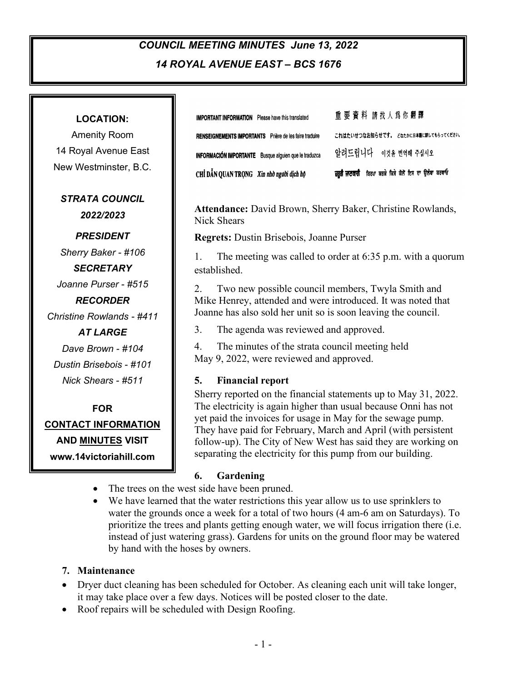# *COUNCIL MEETING MINUTES June 13, 2022 14 ROYAL AVENUE EAST – BCS 1676*

1

| <b>LOCATION:</b>                   | 重要資料 請找人爲你翻譯<br><b>IMPORTANT INFORMATION</b> Please have this translated                                                       |
|------------------------------------|--------------------------------------------------------------------------------------------------------------------------------|
| <b>Amenity Room</b>                | これはたいせつなお知らせです。 どなたかに日本語に訳してもらってください。<br>RENSEIGNEMENTS IMPORTANTS Prière de les faire traduire                                |
| 14 Royal Avenue East               | 알려드립니다 _ 이것을 번역해 주십시오<br>INFORMACIÓN IMPORTANTE Busque alguien que le traduzca                                                 |
| New Westminster, B.C.              | ਜ਼ਰੂਰੀ ਜਾਣਕਾਰੀ ਕਿਰਪਾ ਕਰਕੇ ਕਿਸੇ ਕੋਲੋਂ ਇਸ ਦਾ ਉਲੱਥਾ ਕਰਵਾਓ<br>CHỈ DẦN QUAN TRỌNG Xin nhờ người dịch hộ                             |
| <b>STRATA COUNCIL</b><br>2022/2023 | Attendance: David Brown, Sherry Baker, Christine Rowlands,<br><b>Nick Shears</b>                                               |
| <b>PRESIDENT</b>                   | <b>Regrets:</b> Dustin Brisebois, Joanne Purser                                                                                |
| Sherry Baker - #106                | The meeting was called to order at $6:35$ p.m. with a quorum<br>1.                                                             |
| <b>SECRETARY</b>                   | established.                                                                                                                   |
| Joanne Purser - #515               | 2.<br>Two new possible council members, Twyla Smith and                                                                        |
| <b>RECORDER</b>                    | Mike Henrey, attended and were introduced. It was noted that                                                                   |
| <b>Christine Rowlands - #411</b>   | Joanne has also sold her unit so is soon leaving the council.                                                                  |
| <b>AT LARGE</b>                    | 3.<br>The agenda was reviewed and approved.                                                                                    |
| Dave Brown - #104                  | 4.<br>The minutes of the strata council meeting held                                                                           |
| Dustin Brisebois - #101            | May 9, 2022, were reviewed and approved.                                                                                       |
| Nick Shears - #511                 | 5.<br><b>Financial report</b>                                                                                                  |
|                                    | Sherry reported on the financial statements up to May 31, 2022.                                                                |
| <b>FOR</b>                         | The electricity is again higher than usual because Onni has not<br>yet paid the invoices for usage in May for the sewage pump. |
| <b>CONTACT INFORMATION</b>         | They have paid for February, March and April (with persistent                                                                  |
| <b>AND MINUTES VISIT</b>           | follow-up). The City of New West has said they are working on                                                                  |
| www.14victoriahill.com             | separating the electricity for this pump from our building.                                                                    |
|                                    | 6.<br>Gardening                                                                                                                |

- The trees on the west side have been pruned.
- We have learned that the water restrictions this year allow us to use sprinklers to water the grounds once a week for a total of two hours (4 am-6 am on Saturdays). To prioritize the trees and plants getting enough water, we will focus irrigation there (i.e. instead of just watering grass). Gardens for units on the ground floor may be watered by hand with the hoses by owners.

## **7. Maintenance**

- Dryer duct cleaning has been scheduled for October. As cleaning each unit will take longer, it may take place over a few days. Notices will be posted closer to the date.
- Roof repairs will be scheduled with Design Roofing.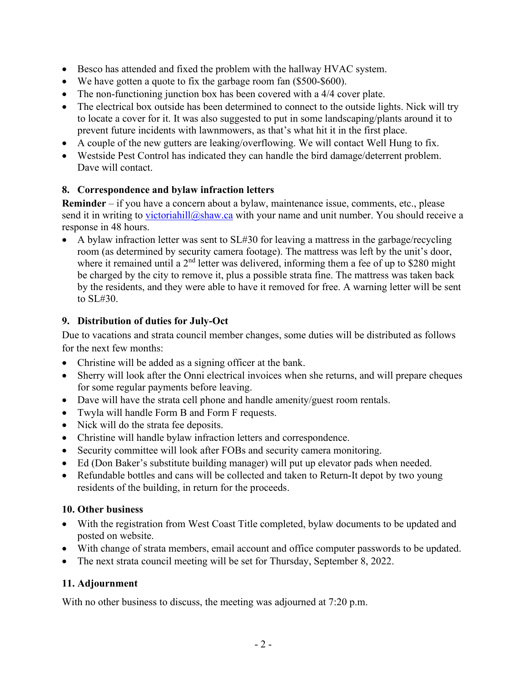- Besco has attended and fixed the problem with the hallway HVAC system.
- We have gotten a quote to fix the garbage room fan (\$500-\$600).
- The non-functioning junction box has been covered with a 4/4 cover plate.
- The electrical box outside has been determined to connect to the outside lights. Nick will try to locate a cover for it. It was also suggested to put in some landscaping/plants around it to prevent future incidents with lawnmowers, as that's what hit it in the first place.
- A couple of the new gutters are leaking/overflowing. We will contact Well Hung to fix.
- Westside Pest Control has indicated they can handle the bird damage/deterrent problem. Dave will contact.

## **8. Correspondence and bylaw infraction letters**

**Reminder** – if you have a concern about a bylaw, maintenance issue, comments, etc., please send it in writing to [victoriahill@shaw.ca](mailto:victoriahill@shaw.ca) with your name and unit number. You should receive a response in 48 hours.

• A bylaw infraction letter was sent to SL#30 for leaving a mattress in the garbage/recycling room (as determined by security camera footage). The mattress was left by the unit's door, where it remained until a 2<sup>nd</sup> letter was delivered, informing them a fee of up to \$280 might be charged by the city to remove it, plus a possible strata fine. The mattress was taken back by the residents, and they were able to have it removed for free. A warning letter will be sent to SL#30.

## **9. Distribution of duties for July-Oct**

Due to vacations and strata council member changes, some duties will be distributed as follows for the next few months:

- Christine will be added as a signing officer at the bank.
- Sherry will look after the Onni electrical invoices when she returns, and will prepare cheques for some regular payments before leaving.
- Dave will have the strata cell phone and handle amenity/guest room rentals.
- Twyla will handle Form B and Form F requests.
- Nick will do the strata fee deposits.
- Christine will handle bylaw infraction letters and correspondence.
- Security committee will look after FOBs and security camera monitoring.
- Ed (Don Baker's substitute building manager) will put up elevator pads when needed.
- Refundable bottles and cans will be collected and taken to Return-It depot by two young residents of the building, in return for the proceeds.

### **10. Other business**

- With the registration from West Coast Title completed, bylaw documents to be updated and posted on website.
- With change of strata members, email account and office computer passwords to be updated.
- The next strata council meeting will be set for Thursday, September 8, 2022.

## **11. Adjournment**

With no other business to discuss, the meeting was adjourned at 7:20 p.m.